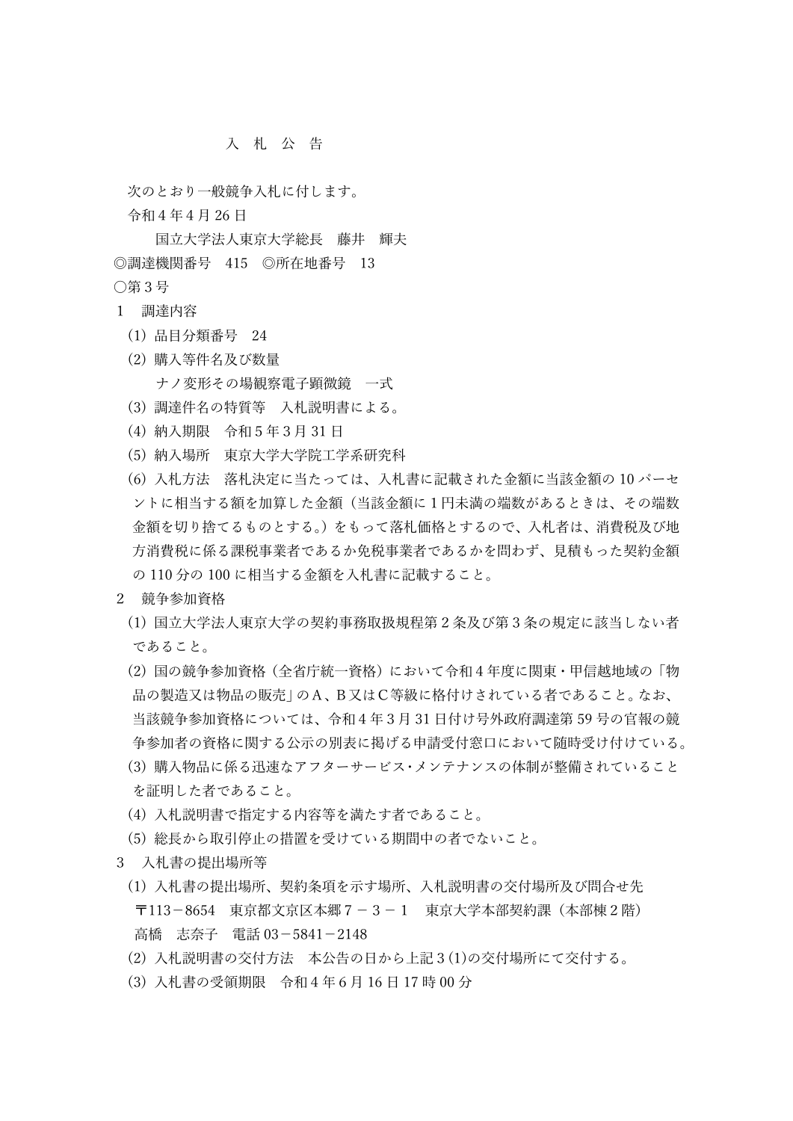## 入 札 公 告

次のとおり一般競争入札に付します。

令和4年4月 26 日

国立大学法人東京大学総長 藤井 輝夫 ◎調達機関番号 415 ◎所在地番号 13 ○第3号

- 1 調達内容
	- (1) 品目分類番号 24
	- (2) 購入等件名及び数量 ナノ変形その場観察電子顕微鏡 一式
	- (3) 調達件名の特質等 入札説明書による。
	- (4) 納入期限 令和5年3月 31 日
	- (5) 納入場所 東京大学大学院工学系研究科
	- (6) 入札方法 落札決定に当たっては、入札書に記載された金額に当該金額の 10 パーセ ントに相当する額を加算した金額(当該金額に1円未満の端数があるときは、その端数 金額を切り捨てるものとする。)をもって落札価格とするので、入札者は、消費税及び地 方消費税に係る課税事業者であるか免税事業者であるかを問わず、見積もった契約金額 の 110 分の 100 に相当する金額を入札書に記載すること。
- 2 競争参加資格
	- (1) 国立大学法人東京大学の契約事務取扱規程第2条及び第3条の規定に該当しない者 であること。
	- (2) 国の競争参加資格(全省庁統一資格)において令和4年度に関東・甲信越地域の「物 品の製造又は物品の販売」のA、B又はC等級に格付けされている者であること。なお、 当該競争参加資格については、令和4年3月 31 日付け号外政府調達第 59 号の官報の競 争参加者の資格に関する公示の別表に掲げる申請受付窓口において随時受け付けている。
	- (3) 購入物品に係る迅速なアフターサービス・メンテナンスの体制が整備されていること を証明した者であること。
	- (4) 入札説明書で指定する内容等を満たす者であること。
	- (5) 総長から取引停止の措置を受けている期間中の者でないこと。
- 3 入札書の提出場所等
	- (1) 入札書の提出場所、契約条項を示す場所、入札説明書の交付場所及び問合せ先 〒113-8654 東京都文京区本郷7-3-1 東京大学本部契約課(本部棟2階) 高橋 志奈子 電話 03-5841-2148
	- (2) 入札説明書の交付方法 本公告の日から上記3(1)の交付場所にて交付する。
	- (3) 入札書の受領期限 令和4年6月 16 日 17 時 00 分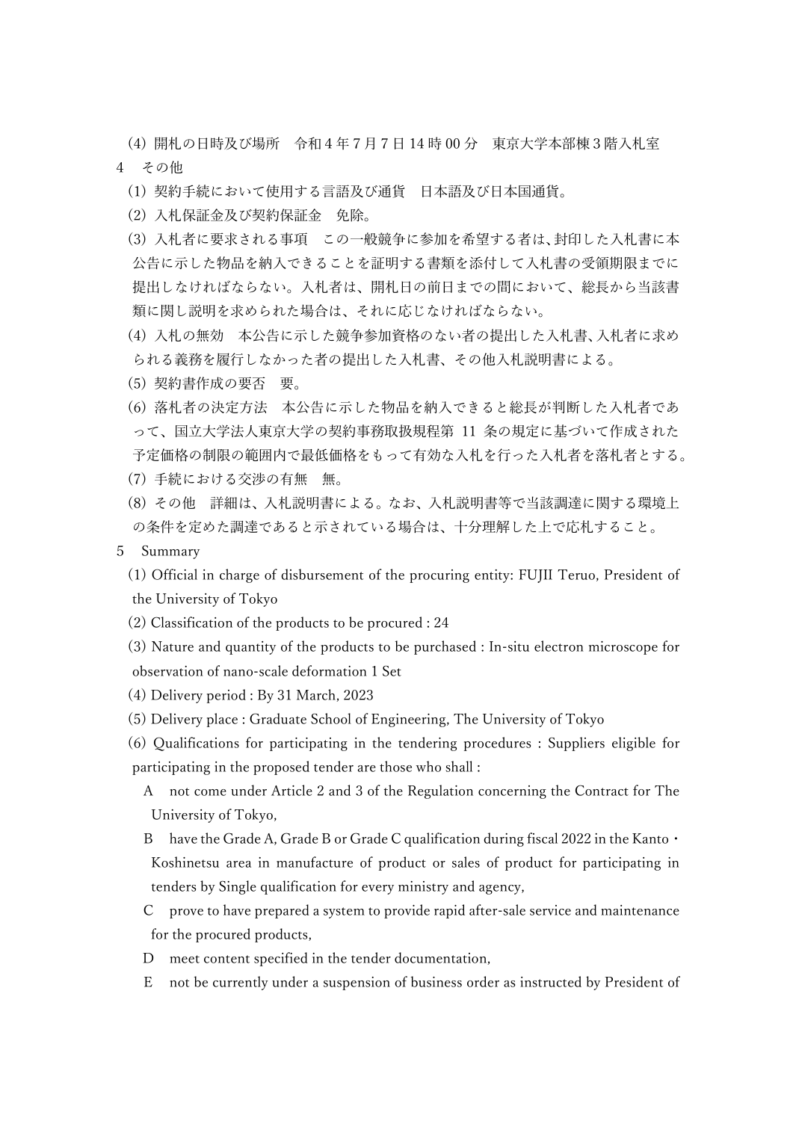(4) 開札の日時及び場所 令和4年7月7日 14 時 00 分 東京大学本部棟3階入札室 4 その他

- (1) 契約手続において使用する言語及び通貨 日本語及び日本国通貨。
- (2) 入札保証金及び契約保証金 免除。
- (3) 入札者に要求される事項 この一般競争に参加を希望する者は、封印した入札書に本 公告に示した物品を納入できることを証明する書類を添付して入札書の受領期限までに 提出しなければならない。入札者は、開札日の前日までの間において、総長から当該書 類に関し説明を求められた場合は、それに応じなければならない。
- (4) 入札の無効 本公告に示した競争参加資格のない者の提出した入札書、入札者に求め られる義務を履行しなかった者の提出した入札書、その他入札説明書による。
- (5) 契約書作成の要否 要。
- (6) 落札者の決定方法 本公告に示した物品を納入できると総長が判断した入札者であ って、国立大学法人東京大学の契約事務取扱規程第 11 条の規定に基づいて作成された 予定価格の制限の範囲内で最低価格をもって有効な入札を行った入札者を落札者とする。
- (7) 手続における交渉の有無 無。
- (8) その他 詳細は、入札説明書による。なお、入札説明書等で当該調達に関する環境上 の条件を定めた調達であると示されている場合は、十分理解した上で応札すること。
- 5 Summary
	- (1) Official in charge of disbursement of the procuring entity: FUJII Teruo, President of the University of Tokyo
	- (2) Classification of the products to be procured : 24
	- (3) Nature and quantity of the products to be purchased : In-situ electron microscope for observation of nano-scale deformation 1 Set
	- (4) Delivery period : By 31 March, 2023
	- (5) Delivery place : Graduate School of Engineering, The University of Tokyo
	- (6) Qualifications for participating in the tendering procedures : Suppliers eligible for participating in the proposed tender are those who shall :
		- A not come under Article 2 and 3 of the Regulation concerning the Contract for The University of Tokyo,
		- B have the Grade A, Grade B or Grade C qualification during fiscal 2022 in the Kanto · Koshinetsu area in manufacture of product or sales of product for participating in tenders by Single qualification for every ministry and agency,
		- C prove to have prepared a system to provide rapid after-sale service and maintenance for the procured products,
		- D meet content specified in the tender documentation,
		- E not be currently under a suspension of business order as instructed by President of